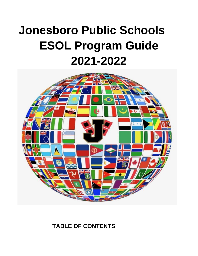# **Jonesboro Public Schools ESOL Program Guide 2021-2022**



**TABLE OF CONTENTS**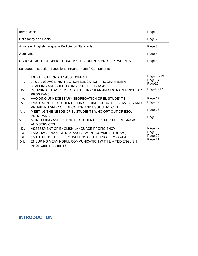| Philosophy and Goals<br>Page 2<br>Arkansas' English Language Proficiency Standards<br>Page 3<br>Page 4<br>Acronyms<br>SCHOOL DISTRICT OBLIGATIONS TO EL STUDENTS AND LEP PARENTS<br>Page 5-9<br>Language Instruction Educational Program (LIEP) Components<br>Page 10-13                                                                                                                                                                                                                                                                                                                                                                                                                                                                                                                                                                                                  | Introduction                               | Page 1 |
|---------------------------------------------------------------------------------------------------------------------------------------------------------------------------------------------------------------------------------------------------------------------------------------------------------------------------------------------------------------------------------------------------------------------------------------------------------------------------------------------------------------------------------------------------------------------------------------------------------------------------------------------------------------------------------------------------------------------------------------------------------------------------------------------------------------------------------------------------------------------------|--------------------------------------------|--------|
|                                                                                                                                                                                                                                                                                                                                                                                                                                                                                                                                                                                                                                                                                                                                                                                                                                                                           |                                            |        |
|                                                                                                                                                                                                                                                                                                                                                                                                                                                                                                                                                                                                                                                                                                                                                                                                                                                                           |                                            |        |
|                                                                                                                                                                                                                                                                                                                                                                                                                                                                                                                                                                                                                                                                                                                                                                                                                                                                           |                                            |        |
|                                                                                                                                                                                                                                                                                                                                                                                                                                                                                                                                                                                                                                                                                                                                                                                                                                                                           |                                            |        |
|                                                                                                                                                                                                                                                                                                                                                                                                                                                                                                                                                                                                                                                                                                                                                                                                                                                                           |                                            |        |
| Page 14<br>JPS LANGUAGE INSTRUCTION EDUCATION PROGRAM (LIEP)<br>$\Pi$ .<br>Page15<br>STAFFING AND SUPPORTING ESOL PROGRAMS<br>III.<br>Page15-17<br>MEANINGFUL ACCESS TO ALL CURRICULAR AND EXTRACURRICULAR<br>IV.<br><b>PROGRAMS</b><br>Page 17<br>AVOIDING UNNECESSARY SEGREGATION OF EL STUDENTS<br>$V_{\rm r}$<br>Page 17<br>VI.<br>EVALUATING EL STUDENTS FOR SPECIAL EDUCATION SERVICES AND<br>PROVIDING SPECIAL EDUCATION AND ESOL SERVICES<br>Page 18<br>VII.<br>MEETING THE NEEDS OF EL STUDENTS WHO OPT OUT OF ESOL<br><b>PROGRAMS</b><br>Page 18<br>VIII.<br>MONITORING AND EXITING EL STUDENTS FROM ESOL PROGRAMS<br><b>AND SERVICES</b><br>Page 19<br>ASSESSMENT OF ENGLISH LANGUAGE PROFICIENCY<br>IX.<br>Page 19<br>X.<br>LANGUAGE PROFICIENCY ASSESSMENT COMMITTEE (LPAC)<br>Page 20<br>EVALUATING THE EFFECTIVENESS OF THE ESOL PROGRAM<br>XI.<br>Page 21 | <b>IDENTIFICATION AND ASSESSMENT</b><br>I. |        |

# **INTRODUCTION**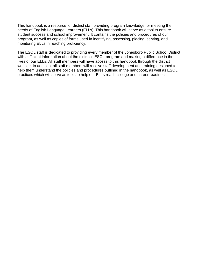This handbook is a resource for district staff providing program knowledge for meeting the needs of English Language Learners (ELLs). This handbook will serve as a tool to ensure student success and school improvement. It contains the policies and procedures of our program, as well as copies of forms used in identifying, assessing, placing, serving, and monitoring ELLs in reaching proficiency.

The ESOL staff is dedicated to providing every member of the Jonesboro Public School District with sufficient information about the district's ESOL program and making a difference in the lives of our ELLs. All staff members will have access to this handbook through the district website. In addition, all staff members will receive staff development and training designed to help them understand the policies and procedures outlined in the handbook, as well as ESOL practices which will serve as tools to help our ELLs reach college and career readiness.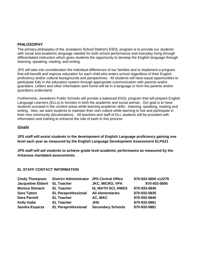# **PHILOSOPHY**

The primary philosophy of the Jonesboro School District's ESOL program is to provide our students with social and academic language needed for both school performance and everyday living through differentiated instruction which gives students the opportunity to develop the English language through listening, speaking, reading, and writing.

JPS will take into consideration the individual differences of our families and to implement a program that will benefit and improve education for each child who enters school regardless of their English proficiency and/or cultural backgrounds and perspectives. All students will have equal opportunities to participate fully in the education system through appropriate communication with parents and/or guardians. Letters and other information sent home will be in a language or form the parents and/or guardians understand.

Furthermore, Jonesboro Public Schools will provide a balanced ESOL program that will prepare English Language Learners (ELLs) to function in both the academic and social arenas. Our goal is to have students succeed in the content areas while learning academic skills: listening, speaking, reading and writing. Also, we want students to maintain their own culture while learning to live and participate in their new community (biculturalism). All teachers and staff of ELL students will be provided with information and training to enhance the role of each in this process

# *Goals*

**JPS staff will assist students in the development of English Language proficiency gaining one level each year as measured by the English Language Development Assessment ELPA21**

**JPS staff will aid students to achieve grade level academic performance as measured by the Arkansas mandated assessments.** 

# **EL STAFF CONTACT INFORMATION**

| <b>Cindy Thompson</b>    | <b>District Administrator JPS Central Office</b> |                           | 870-933-5800 x12279 |
|--------------------------|--------------------------------------------------|---------------------------|---------------------|
| <b>Jacqueline Ebbert</b> | <b>EL Teacher</b>                                | <b>JKC, MICRO, VPA</b>    | 870-933-5855        |
| <b>Monica Stimach</b>    | <b>EL Teacher</b>                                | <b>IS, MATH SCI, HWES</b> | 870-933-5845        |
| <b>Sara Tipton</b>       | <b>EL Paraprofessional</b>                       | <b>All elementaries</b>   | 870-933-5835        |
| <b>Dara Parnell</b>      | <b>EL Teacher</b>                                | AC, MAC                   | 870-933-5840        |
| <b>Kelly Gabe</b>        | <b>EL Teacher</b>                                | <b>JHS</b>                | 870-933-5881        |
| <b>Sandra Esparza</b>    | <b>EL Paraprofessional</b>                       | <b>Secondary Schools</b>  | 870-933-5881        |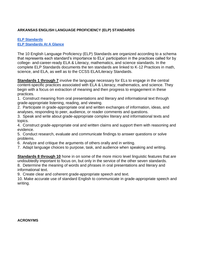# **ARKANSAS ENGLISH LANGUAGE PROFICIENCY (ELP) STANDARDS**

# **[ELP Standards](http://dese.ade.arkansas.gov/public/userfiles/Learning_Services/Curriculum%20and%20Instruction/Frameworks/Eng_Lang_Prof_2018/Arkansas_ELP_Standards_08_09_2018_RV.pdf) [ELP Standards At A Glance](http://www.arkansased.gov/public/userfiles/Learning_Services/Curriculum%20and%20Instruction/Frameworks/ELP%202015/12.22.14_Standards_At_A_Glance.pdf)**

The 10 English Language Proficiency (ELP) Standards are organized according to a schema that represents each standard's importance to ELs' participation in the practices called for by college- and-career-ready ELA & Literacy, mathematics, and science standards. In the complete ELP Standards documents the ten standards are linked to K-12 Practices in math, science, and ELA, as well as to the CCSS ELA/Literacy Standards.

**Standards 1 through 7** involve the language necessary for ELs to engage in the central content-specific practices associated with ELA & Literacy, mathematics, and science. They begin with a focus on extraction of meaning and then progress to engagement in these practices.

- 1. Construct meaning from oral presentations and literary and informational text through grade-appropriate listening, reading, and viewing.
- 2. Participate in grade-appropriate oral and written exchanges of information, ideas, and analyses, responding to peer, audience, or reader comments and questions.
- 3. Speak and write about grade-appropriate complex literary and informational texts and topics.
- 4. Construct grade-appropriate oral and written claims and support them with reasoning and evidence.
- 5. Conduct research, evaluate and communicate findings to answer questions or solve problems.
- 6. Analyze and critique the arguments of others orally and in writing.
- 7. Adapt language choices to purpose, task, and audience when speaking and writing.

**Standards 8 through 10** hone in on some of the more micro level linguistic features that are undoubtedly important to focus on, but only in the service of the other seven standards.

8. Determine the meaning of words and phrases in oral presentations and literary and informational text.

9. Create clear and coherent grade-appropriate speech and text.

10. Make accurate use of standard English to communicate in grade-appropriate speech and writing.

**ACRONYMS**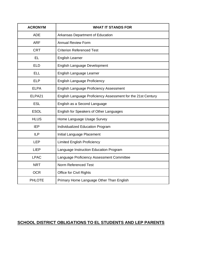| <b>ACRONYM</b> | <b>WHAT IT STANDS FOR</b>                                    |
|----------------|--------------------------------------------------------------|
| <b>ADE</b>     | Arkansas Department of Education                             |
| <b>ARF</b>     | <b>Annual Review Form</b>                                    |
| <b>CRT</b>     | <b>Criterion Referenced Test</b>                             |
| <b>EL</b>      | <b>English Learner</b>                                       |
| <b>ELD</b>     | <b>English Language Development</b>                          |
| <b>ELL</b>     | English Language Learner                                     |
| <b>ELP</b>     | <b>English Language Proficiency</b>                          |
| <b>ELPA</b>    | English Language Proficiency Assessment                      |
| ELPA21         | English Language Proficiency Assessment for the 21st Century |
| <b>ESL</b>     | English as a Second Language                                 |
| <b>ESOL</b>    | English for Speakers of Other Languages                      |
| <b>HLUS</b>    | Home Language Usage Survey                                   |
| <b>IEP</b>     | <b>Individualized Education Program</b>                      |
| <b>ILP</b>     | Initial Language Placement                                   |
| <b>LEP</b>     | <b>Limited English Proficiency</b>                           |
| <b>LIEP</b>    | Language Instruction Education Program                       |
| <b>LPAC</b>    | Language Proficiency Assessment Committee                    |
| <b>NRT</b>     | Norm Referenced Test                                         |
| <b>OCR</b>     | Office for Civil Rights                                      |
| <b>PHLOTE</b>  | Primary Home Language Other Than English                     |

# **SCHOOL DISTRICT OBLIGATIONS TO EL STUDENTS AND LEP PARENTS**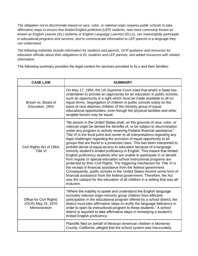*The obligation not to discriminate based on race, color, or national origin requires public schools to take affirmative steps to ensure that limited English proficient (LEP) students, now more commonly known as known as English Learner (EL) students or English Language Learners (ELLs), can meaningfully participate in educational programs and services, and to communicate information to LEP parents in a language they can understand.*

*The following materials include information for students and parents, OCR guidance and resources for education officials about their obligations to EL students and LEP parents, and added resources with related information.*

The following summary provides the legal context for services provided to ELs and their families:

| <b>CASE LAW</b>                                              | <b>SUMMARY</b>                                                                                                                                                                                                                                                                                                                                                                                                                                                                                                                                                                                                                                                                                                                                                                                                                                                                                                                                                                                                                                                                                                                                                               |
|--------------------------------------------------------------|------------------------------------------------------------------------------------------------------------------------------------------------------------------------------------------------------------------------------------------------------------------------------------------------------------------------------------------------------------------------------------------------------------------------------------------------------------------------------------------------------------------------------------------------------------------------------------------------------------------------------------------------------------------------------------------------------------------------------------------------------------------------------------------------------------------------------------------------------------------------------------------------------------------------------------------------------------------------------------------------------------------------------------------------------------------------------------------------------------------------------------------------------------------------------|
| Brown vs. Board of<br>Education, 1954                        | On May 17, 1954, the US Supreme Court ruled that where a State has<br>undertaken to provide an opportunity for an education in public schools,<br>such an opportunity is a right which must be made available to all on<br>equal terms. Segregation of children in public schools solely on the<br>basis of race deprives children of the minority group of equal<br>educational opportunities, even though the physical facilities and other<br>tangible factors may be equal.                                                                                                                                                                                                                                                                                                                                                                                                                                                                                                                                                                                                                                                                                              |
| Civil Rights Act of 1964,<br>Title VI                        | "No person in the United States shall, on the grounds of race, color, or<br>national origin be denied the benefits of, or be subject to discrimination<br>under any program or activity receiving Federal financial assistance."<br>Title VI is the focal point and center to all interpretations regarding any<br>legal challenges regarding the provision of equal opportunity to all<br>groups that are found in a protected class. This has been interpreted to<br>prohibit denial of equal access to education because of a language<br>minority student's limited proficiency in English. This means that limited<br>English proficiency students who are unable to participate in or benefit<br>from regular or special education school instructional programs are<br>protected by their Civil Rights. The triggering mechanism for Title VI is<br>the receipt of financial assistance from the federal government.<br>Consequently, public schools in the United States receive some form of<br>financial assistance from the federal government. Therefore, the Act<br>was the catalyst for the education of all children in a setting that was all-<br>inclusive. |
| Office for Civil Rights'<br>(OCR) May 25, 1970<br>Memorandum | "Where the inability to speak and understand the English language<br>excludes national origin-minority group children from effective<br>participation in the educational program offered by a school district, the<br>district must take affirmative steps to rectify the language deficiency in<br>order to open its instructional program to these students." A school<br>district is required to take affirmative steps in remedying a student's<br>limited English proficiency.                                                                                                                                                                                                                                                                                                                                                                                                                                                                                                                                                                                                                                                                                          |
|                                                              | Plaintiffs filed on behalf of Mexican-American children in Monterey<br>County, California, alleged that the school system was inaccurately                                                                                                                                                                                                                                                                                                                                                                                                                                                                                                                                                                                                                                                                                                                                                                                                                                                                                                                                                                                                                                   |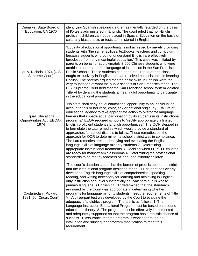| Diana vs. State Board of<br>Education, CA 1970                | identifying Spanish speaking children as mentally retarded on the basis<br>of IQ tests administered in English. The court ruled that non-English<br>proficient children cannot be placed in Special Education on the basis of<br>culturally biased tests or tests administered in English.                                                                                                                                                                                                                                                                                                                                                                                                                                                                                                                                                                                                                                                                                                                                                                                                      |
|---------------------------------------------------------------|-------------------------------------------------------------------------------------------------------------------------------------------------------------------------------------------------------------------------------------------------------------------------------------------------------------------------------------------------------------------------------------------------------------------------------------------------------------------------------------------------------------------------------------------------------------------------------------------------------------------------------------------------------------------------------------------------------------------------------------------------------------------------------------------------------------------------------------------------------------------------------------------------------------------------------------------------------------------------------------------------------------------------------------------------------------------------------------------------|
| Lau v. Nichols, 1974 (U.S.<br>Supreme Court)                  | "Equality of educational opportunity is not achieved by merely providing<br>students with "the same facilities, textbooks, teachers and curriculum;<br>because students who do not understand English are effectively<br>foreclosed from any meaningful education." This case was initiated by<br>parents on behalf of approximately 3,000 Chinese students who were<br>unable to understand the language of instruction in the San Francisco<br>Public Schools. These students had been required to attend classes<br>taught exclusively in English and had received no assistance in learning<br>English. The parents argued that the basic skills in English were the<br>very foundation of what the public schools of San Francisco teach. The<br>U.S. Supreme Court held that the San Francisco school system violated<br>Title VI by denying the students a meaningful opportunity to participate<br>in the educational program.                                                                                                                                                          |
| <b>Equal Educational</b><br>Opportunities Act (EEOA),<br>1974 | "No state shall deny equal educational opportunity to an individual on<br>account of his or her race, color, sex or national origin, byfailure of<br>educational agency to take appropriate action to overcome language<br>barriers that impede equal participation by its students in its instructional<br>programs." EEOA required schools to "rectify appropriately a limited<br>English proficient student's English opportunities." The OCR stepped in<br>to formulate the Lau remedies which would provide a standard of<br>approaches for school districts to follow. These remedies set the<br>approach for OCR to determine if a school district was in compliance.<br>The Lau remedies are: 1. Identifying and evaluating the English<br>language skills of language minority students 2. Determining<br>appropriate instructional treatments 3. Deciding when LEP/ELL children<br>are ready for mainstream classrooms 4. Determining the professional<br>standards to be met by teachers of language minority children                                                               |
| Castañeda v. Pickard,<br>1981 (5th Circuit Court)             | "The court's decision states that the burden of proof is upon the district<br>that the instructional program designed for an ELL student has clearly<br>developed English language skills of comprehension, speaking,<br>reading, and writing necessary for learning and achieving in English-<br>only instruction at a level substantially equivalent to pupils whose<br>primary language is English." OCR determined that the standards<br>reasoned by the Court was appropriate in determining whether<br>programs for language minority students meet the requirements of Title<br>VI. A three-part test was developed by the Court to evaluate the<br>adequacy of a district's program. The test is as follows: 1. The<br>Language Instruction Educational Program must be based on a sound<br>educational theory. 2. The program must be effectively implemented<br>and adequately supported so that the program has a realistic chance of<br>success. 3. Assurance that the program is working through an<br>evaluation and subsequent program modification to meet this<br>requirement. |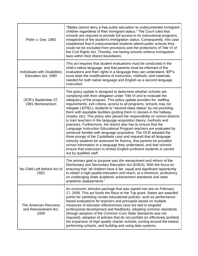| Plyler v. Doe, 1982                                         | "States cannot deny a free public education to undocumented immigrant<br>children regardless of their immigrant status." The Court ruled that<br>schools are required to provide full access to its instructional programs,<br>irrespective of the student's immigration status. Consequently, this case<br>established that if undocumented students attend public schools they<br>could not be excluded from provisions and the protections of Title VI of<br>the Civil Rights Act. Thereby, not having schools enforce immigration<br>laws within their district boundaries.                                                                                                                                                                                                                                                                                                                                                                                                                                                                                                                                                   |
|-------------------------------------------------------------|-----------------------------------------------------------------------------------------------------------------------------------------------------------------------------------------------------------------------------------------------------------------------------------------------------------------------------------------------------------------------------------------------------------------------------------------------------------------------------------------------------------------------------------------------------------------------------------------------------------------------------------------------------------------------------------------------------------------------------------------------------------------------------------------------------------------------------------------------------------------------------------------------------------------------------------------------------------------------------------------------------------------------------------------------------------------------------------------------------------------------------------|
| <b>Individuals with Disabilities</b><br>Education Act, 1990 | This act requires that student evaluations must be conducted in the<br>child's native language, and that parents must be informed of the<br>evaluations and their rights in a language they can understand. IEP's<br>must state the modifications of instruction, methods, and materials<br>needed for both native language and English as a second language<br>instruction.                                                                                                                                                                                                                                                                                                                                                                                                                                                                                                                                                                                                                                                                                                                                                      |
| OCR's September 27,<br>1991 Memorandum                      | The policy update is designed to determine whether schools are<br>complying with their obligation under Title VI and to evaluate the<br>adequacy of the program. This policy update provides for: staffing<br>requirements, exit criteria, access to all programs, schools may not<br>relegate LEP/ELL students to "second-class status" by not providing<br>them with equitable facilities (putting them in classes in the hallway,<br>closets, etc). This policy also placed the responsibility on school districts<br>to train teachers in the language acquisition theory, methods and<br>practices. Furthermore, the district also has to ensure that the<br>Language Instruction Educational Program teachers are evaluated by<br>someone familiar with language acquisition. The OCR adopted the<br>three prongs of the Castañeda case and required that all language<br>minority students be assessed for fluency, that parents be provided<br>school information in a language they understand, and that schools<br>ensure that instruction to limited English proficient students is carried<br>out by qualified staff. |
| No Child Left Behind Act of<br>2001                         | The primary goal or purpose was the reenactment and reform of the<br>Elementary and Secondary Education Act (ESEA). With the focus on<br>ensuring that "all children have a fair, equal and significant opportunity<br>to obtain a high-quality education and reach, at a minimum, proficiency<br>on challenging State academic achievement standards and state<br>academic assessments."                                                                                                                                                                                                                                                                                                                                                                                                                                                                                                                                                                                                                                                                                                                                         |
| The American Recovery<br>and Reinvestment Act,<br>2009      | An economic stimulus package that was signed into law on February<br>17, 2009. This act funds the Race to the Top grant. States are awarded<br>points for satisfying certain educational policies, such as performance-<br>based evaluations for teachers and principals based on multiple<br>measures of educator effectiveness (and are tied to targeted<br>professional development and feedback), adopting common standards<br>(though adoption of the Common Core State Standards was not<br>required), adoption of policies that do not prohibit (or effectively prohibit)<br>the expansion of high-quality charter schools, turning around the lowest-<br>performing schools, and building and using data systems.                                                                                                                                                                                                                                                                                                                                                                                                         |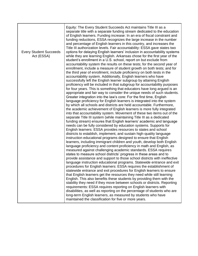| <b>Every Student Succeeds</b><br>Act (ESSA) | Equity: The Every Student Succeeds Act maintains Title III as a<br>separate title with a separate funding stream dedicated to the education<br>of English learners. Funding increase: In an era of fiscal constraint and<br>funding reductions, ESSA recognizes the large increase in the number<br>and percentage of English learners in this country, and increases the<br>Title III authorization levels. Fair accountability: ESSA gave states two<br>options for delaying English learners' inclusion in accountability systems<br>while they are learning English. Arkansas chose for the first year of the<br>student's enrollment in a U.S. school, report on but exclude from<br>accountability system the results on these tests; for the second year of<br>enrollment, include a measure of student growth on both tests; and for<br>the third year of enrollment, include proficiency on both tests in the<br>accountability system. Additionally, English learners who have<br>successfully left the English learner subgroup by attaining English<br>proficiency will be included in that subgroup for accountability purposes<br>for four years. This is something that educators have long argued is an<br>appropriate and fair way to consider the unique needs of such students.<br>Greater integration into the law's core: For the first time, English<br>language proficiency for English learners is integrated into the system<br>by which all schools and districts are held accountable. Furthermore,<br>the academic achievement of English learners is more fully integrated<br>into that accountability system. Movement of these two items out of the<br>separate Title III system (while maintaining Title III as a dedicated<br>funding stream) ensures that English learners' academic and language<br>needs can be fully considered by education systems. Supports for<br>English learners: ESSA provides resources to states and school<br>districts to establish, implement, and sustain high-quality language<br>instruction educational programs designed to ensure that English<br>learners, including immigrant children and youth, develop both English<br>language proficiency and content proficiency in math and English, as<br>measured against challenging academic standards. ESSA requires<br>states to measure school districts' progress in these areas and to<br>provide assistance and support to those school districts with ineffective<br>language instruction educational programs. Statewide entrance and exit<br>procedures for English learners: ESSA requires the establishment of<br>statewide entrance and exit procedures for English learners to ensure<br>that English learners get the resources they need while still learning<br>English. This also benefits these students by providing them with the |
|---------------------------------------------|---------------------------------------------------------------------------------------------------------------------------------------------------------------------------------------------------------------------------------------------------------------------------------------------------------------------------------------------------------------------------------------------------------------------------------------------------------------------------------------------------------------------------------------------------------------------------------------------------------------------------------------------------------------------------------------------------------------------------------------------------------------------------------------------------------------------------------------------------------------------------------------------------------------------------------------------------------------------------------------------------------------------------------------------------------------------------------------------------------------------------------------------------------------------------------------------------------------------------------------------------------------------------------------------------------------------------------------------------------------------------------------------------------------------------------------------------------------------------------------------------------------------------------------------------------------------------------------------------------------------------------------------------------------------------------------------------------------------------------------------------------------------------------------------------------------------------------------------------------------------------------------------------------------------------------------------------------------------------------------------------------------------------------------------------------------------------------------------------------------------------------------------------------------------------------------------------------------------------------------------------------------------------------------------------------------------------------------------------------------------------------------------------------------------------------------------------------------------------------------------------------------------------------------------------------------------------------------------------------------------------------------------------------------------------------------------------------------------------------------------------------------------------------------------------------------------------------------------------------------------------|
|                                             | stability they need if they move between schools or districts. Reporting<br>requirements: ESSA requires reporting on English learners with<br>disabilities, as well as reporting on the percentage of students who are<br>long-term English learners, as measured by students who have<br>maintained the classification for five or more years.                                                                                                                                                                                                                                                                                                                                                                                                                                                                                                                                                                                                                                                                                                                                                                                                                                                                                                                                                                                                                                                                                                                                                                                                                                                                                                                                                                                                                                                                                                                                                                                                                                                                                                                                                                                                                                                                                                                                                                                                                                                                                                                                                                                                                                                                                                                                                                                                                                                                                                                           |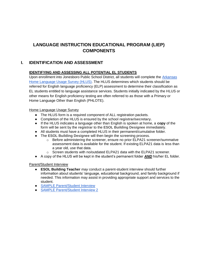# **LANGUAGE INSTRUCTION EDUCATIONAL PROGRAM (LIEP) COMPONENTS**

# **I. IDENTIFICATION AND ASSESSMENT**

# **IDENTIFYING AND ASSESSING ALL POTENTIAL EL STUDENTS**

Upon enrollment into Jonesboro Public School District, all students will complete the [Arkansas](http://www.arkansased.gov/public/userfiles/Learning_Services/English%20Language%20Learners/Arkansas_Home_Language_Usage_Survey.pdf)  [Home Language Usage Survey \(HLUS\).](http://www.arkansased.gov/public/userfiles/Learning_Services/English%20Language%20Learners/Arkansas_Home_Language_Usage_Survey.pdf) The HLUS determines which students should be referred for English language proficiency (ELP) assessment to determine their classification as EL students entitled to language assistance services. Students initially indicated by the HLUS or other means for English proficiency testing are often referred to as those with a Primary or Home Language Other than English (PHLOTE).

#### Home Language Usage Survey

- The HLUS form is a required component of ALL registration packets.
- Completion of the HLUS is ensured by the school **registrar/secretary.**
- If the HLUS indicates a language other than English is spoken at home, a **copy** of the form will be sent by the **registrar** to the **ESOL Building Designee** immediately.
- All students must have a completed HLUS in their permanent/cumulative folder.
- The **ESOL Building Designee** will then begin the screening process.
	- $\circ$  Before administering the screener, ensure no prior ELPA21 screener/summative assessment data is available for the student. If existing ELPA21 data is less than a year old, use that data.
	- $\circ$  Screen students with no/outdated ELPA21 data with the ELPA21 screener.
- A copy of the HLUS will be kept in the student's permanent folder *AND* his/her EL folder.

#### Parent/Student Interview

- **ESOL Building Teacher** *may* conduct a parent-student interview should further information about students' language, educational background, and family background if needed. This information may assist in providing appropriate support and services to the student.
- [SAMPLE Parent/Student Interview](https://docs.google.com/spreadsheets/d/1MKjvpg9nIjsKAyE9Clqgd1mqliLitoTf9aLgx3blapc/copy)
- [SAMPLE Parent/Student Interview 2](https://docs.google.com/document/d/1z38tx7X5NEobql_UKdoXumhUM1QE6I1CFlHXUWRvAcg/copy)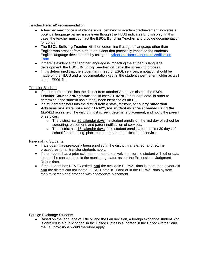#### Teacher Referral/Recommendation

- A teacher may notice a student's social behavior or academic achievement indicates a potential language barrier issue even though the HLUS indicates English only. In this case, the teacher must contact the **ESOL Building Teacher** and provide documentation for concern.
- The **ESOL Building Teacher** will then determine if usage of language other than English was present from birth to an extent that potentially impacted the students' English language development by using the [Arkansas Home Language Verification](https://drive.google.com/file/d/13SRPSrsQYqc4Rk58njTtImoLoBdDbAwO/view)  [Form.](https://drive.google.com/file/d/13SRPSrsQYqc4Rk58njTtImoLoBdDbAwO/view)
- If there is evidence that another language is impacting the student's language development, the **ESOL Building Teacher** will begin the screening process.
- If it is determined that the student is in need of ESOL services, a notation should be made on the HLUS and all documentation kept in the student's permanent folder as well as the ESOL file.

#### Transfer Students

- If a student transfers into the district from another Arkansas district, the **ESOL Teacher/Counselor/Registrar** should check TRIAND for student data, in order to determine if the student has already been identified as an EL.
- If a student transfers into the district from a state, territory, or country *other than Arkansas or a state not using ELPA21, the student must be screened using the ELPA21 screener.* The district must screen, determine placement, and notify the parent of services.
	- $\circ$  The district has 30 calendar days if a student enrolls on the first day of school for screening, placement, and parent notification of services.
	- The district has 15 calendar days if the student enrolls after the first 30 days of school for screening, placement, and parent notification of services.

#### Re-enrolling Students

- If a student has previously been enrolled in the district, transferred, and returns, procedures for all transfer students apply.
- If the student has a prior exit, attempt to retroactively monitor the student with other data to see if he can continue in the monitoring status as per the Professional Judgment Rubric data.
- If the student has NEVER exited, **and** the available ELPA21 data is more than a year old **and** the district can not locate ELPA21 data in Triand or in the ELPA21 data system, then re-screen and proceed with appropriate placement.

#### Foreign Exchange Students

● Based on the language of Title VI and the Lau decision, a foreign exchange student who is enrolled in a public school in the United States is a 'person in the United States,' and the Lau provisions would therefore apply.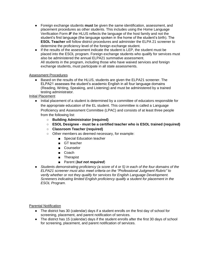- Foreign exchange students **must** be given the same identification, assessment, and placement procedures as other students. This includes using the Home Language Verification Form *IF* the HLUS reflects the language of the host family and not the student's first language (the language spoken in the home of the student's birth). The **ESOL Teacher** will follow district procedures and administer the ELPA 21 screener to determine the proficiency level of the foreign exchange student.
- If the results of the assessment indicate the student is LEP, the student must be placed into the ESOL program. Foreign exchange students who qualify for services must also be administered the annual ELPA21 summative assessment. All students in the program, including those who have waived services and foreign exchange students, must participate in all state assessments.

#### Assessment Procedures

● Based on the results of the HLUS, students are given the ELPA21 screener. The ELPA21 assesses the student's academic English in all four language domains (Reading, Writing, Speaking, and Listening) and must be administered by a trained testing administrator.

#### Initial Placement

- Initial placement of a student is determined by a committee of educators responsible for the appropriate education of the EL student. This committee is called a Language Proficiency and Assessment Committee (LPAC) and consists of at least three people from the following list:
	- **Building Administrator (required)**
	- **ESOL Designee - must be a certified teacher who is ESOL trained (required)**
	- **Classroom Teacher (required)**
	- Other members as deemed necessary, for example:
		- Special Education teacher
		- GT teacher
		- Counselor
		- Coach
		- Therapist
		- Parent (*but not required*)
- *Students demonstrating proficiency (a score of 4 or 5) in each of the four domains of the ELPA21 screener must also meet criteria on the "Professional Judgment Rubric" to verify whether or not they qualify for services for English Language Development. Screeners indicating limited English proficiency qualify a student for placement in the ESOL Program.*

Parental Notification

- The district has 30 (calendar) days if a student enrolls on the first day of school for screening, placement, and parent notification of services.
- The district has 15 (calendar) days if the student enrolls after the first 30 days of school for screening, placement, and parent notification of services.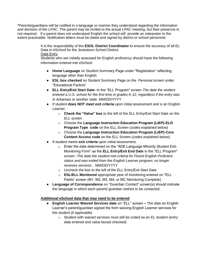\*Parents/guardians will be notified in a language or manner they understand regarding the information and decision of the LPAC. The parent may be invited to the actual LPAC meeting, but their presence is not required. If a parent does not understand English the school will provide an interpreter to the extent practicable. Notification letters must be dated and signed by district or school personnel.

> It is the responsibility of the **ESOL District Coordinator** to ensure the accuracy of all EL Data in eSchool for the Jonesboro School District. Data Entry

Students who are initially assessed for English proficiency should have the following information entered into eSchool:

- **Home Language** on Student Summary Page under "Registration" reflecting language other than English
- **ESL box checked** on Student Summary Page on the Personal screen under "Educational Factors"
- **ELL Entry/Exit Start Date**--in the "ELL Program" screen *The date the student entered a U.S. school for the first time in grades K-12, regardless if the entry was in Arkansas or another state.* MM/DD/YYYY
- If student **does NOT meet exit criteria** upon initial assessment and is an English Learner:
	- o **Check the "Value" box** to the left of the ELL Entry/Exit Start Date on the ELL screen
	- o Choose the **Language Instruction Education Program (LIEP)-ELD Program Type code** on the ELL Screen (codes explained below)
	- o Choose the **Language Instruction Education Program (LIEP)-Core Content Access code** on the ELL Screen (codes explained below)
- If student meets **exit criteria** upon initial assessment,
	- o Enter the date determined on the "ADE Language Minority Student Exit-Monitoring Form" as the **ELL Entry/Exit End Date** in the "ELL Program" screen -*The date the student met criteria for Fluent English Proficient status and was exited from the English Learner program; no longer receives services. .* MM/DD/YYYY
	- o Uncheck the box to the left of the ELL Entry/Exit Start Date
	- o **ESL/ELL Monitored** appropriate year of monitoring entered on "ELL Fields" screen (M1, M2, M3, M4, or MC-Monitoring Complete)
- **Language of Correspondence** on "Guardian Contact" screen(s) should indicate the language in which each parent/ guardian wishes to be contacted.

# **Additional eSchool data that may need to be entered**

- **English Learner Waived Services date** on "ELL" screen **–** The date an English Learner's parent/guardian signed the form waiving English Learner services for the student (if applicable)
	- o Student with waived services must still be coded as an EL student (entry date entered and value boxed checked)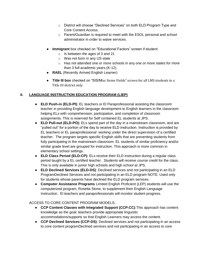- o District will choose "Declined Services" on both ELD Program Type and Core Content Access.
- o Parent/Guardian is required to meet with the ESOL personal and school administrator in order to waive services.
- **Immigrant** box checked on "Educational Factors" screen if student:
	- o Is between the ages of 3 and 21
	- o Was not born in any US state
	- $\circ$  Has not attended one or more schools in any one or more states for more than 3 full academic years (K-12).
- **RAEL** (Recently Arrived English Learner)
- **Title III box** checked on "SIS/Misc Items Fields" screen for all LMS students in a Title III district only.

# **II. LANGUAGE INSTRUCTION EDUCATION PROGRAM (LIEP)**

- **ELD Push-in (ELD-PI):** EL teachers or El Paraprofessional assisting the classroom teacher in providing English language development to English learners in the classroom helping ELs with comprehension, participation, and completion of classroom assignments. This is reserved for Self contained EL students at JPS.
- **ELD Pull-out (ELD-PO):** ELs spend part of the day in a mainstream classroom, and are "pulled out" for a portion of the day to receive ELD instruction. Instruction is provided by EL teachers or EL paraprofessional working under the direct supervision of a certified teacher. The program targets specific English skills that are preventing students from fully participating in the mainstream classroom. EL students of similar proficiency and/or similar grade level are grouped for instruction. This approach is more common in elementary school settings.
- **ELD Class Period (ELD-CP):** ELs receive their ELD instruction during a regular class period taught by a EL certified teacher. Students will receive *course credit* for the class. This is only available in junior high schools and high school at JPS.
- **ELD Declined Services (ELD-DS)**: Declined services and not participating in an ELD ProgramDeclined Services and not participating in an ELD program NOTE: Used only for students whose parents have declined the ELD program services.
- **Computer Assistance Programs** Limited English Proficient (LEP) students will use the computerized program, Rosetta Stone, to supplement their English Language Instruction. El teachers and paraprofessionals will monitor student progress.

# ACCESS TO CORE CONTENT PROGRAM MODELS:.

- **CCP Content Classes with Integrated Support (CCP:CC)**:This approach has content knowledge as the goal; teachers provide appropriate linguistic accommodations/supports so that English Learners may access the content.
- **CCP Declined Services (CCP-DS)**: Declined services and not participating in an access to core content programDeclined services and not participating in an access to core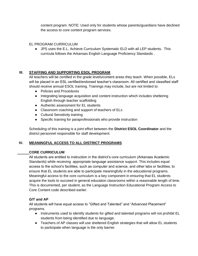content program. NOTE: Used only for students whose parents/guardians have declined the access to core content program services.

#### EL PROGRAM CURRICULUM

● JPS uses the E.L. Achieve Curriculum Systematic ELD with all LEP students. This curricula follows the Arkansas English Language Proficiency Standards .

# **III. STAFFING AND SUPPORTING ESOL PROGRAM**

All teachers will be certified in the grade levels/content areas they teach. When possible, ELs will be placed in an ESL certified/endorsed teacher's classroom. All certified and classified staff should receive annual ESOL training. Trainings may include, but are not limited to:

- Policies and Procedures
- Integrating language acquisition and content instruction which includes sheltering English through teacher scaffolding
- Authentic assessment for EL students
- Classroom coaching and support of teachers of ELs
- Cultural Sensitivity training
- Specific training for paraprofessionals who provide instruction

Scheduling of this training is a joint effort between the **District ESOL Coordinator** and the district personnel responsible for staff development.

# **IV. MEANINGFUL ACCESS TO ALL DISTRICT PROGRAMS**

#### **CORE CURRICULUM**

All students are entitled to instruction in the district's core curriculum (Arkansas Academic Standards) while receiving appropriate language assistance support. This includes equal access to the school's facilities, such as computer and science, and other labs or facilities, to ensure that EL students are able to participate meaningfully in the educational programs. Meaningful access to the core curriculum is a key component in ensuring that EL students acquire the tools to succeed in general education classrooms within a reasonable length of time. This is documented, per student, as the Language Instruction Educational Program Access to Core Content code described earlier.

#### **G/T and AP**

All students will have equal access to "Gifted and Talented" and "Advanced Placement" programs.

- Instruments used to identify students for gifted and talented programs will not prohibit EL students from being identified due to language.
- Teachers of AP classes will use sheltered English strategies that will allow EL students to participate when language is the only barrier.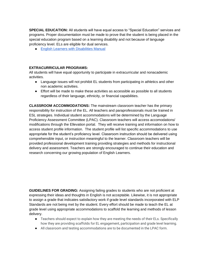**SPECIAL EDUCATION:** All students will have equal access to "Special Education" services and programs. Proper documentation must be made to prove that the student is being placed in the special education program based on a learning disability and not because of language proficiency level. ELs are eligible for dual services.

● [English Learners with Disabilities Manual](https://drive.google.com/open?id=1SEcB6gP--psFMuS4r6Oh_q7n8ac6O1rI)

# **EXTRACURRICULAR PROGRAMS:**

All students will have equal opportunity to participate in extracurricular and nonacademic activities.

- Language issues will not prohibit EL students from participating in athletics and other non academic activities.
- Effort will be made to make these activities as accessible as possible to all students regardless of their language, ethnicity, or financial capabilities.

**CLASSROOM ACCOMMODATIONS:** The mainstream classroom teacher has the primary responsibility for instruction of the EL. All teachers and paraprofessionals must be trained in ESL strategies. Individual student accommodations will be determined by the Language Proficiency Assessment Committee (LPAC). Classroom teachers will access accomodations/ modifications through the Ellevation portal. They will receive training and information on how to access student profile information. The student profile will list specific accommodations to use appropriate for the student's proficiency level. Classroom instruction should be delivered using comprehensible input, or instruction meaningful to the learner. Classroom teachers will be provided professional development training providing strategies and methods for instructional delivery and assessment. Teachers are strongly encouraged to continue their education and research concerning our growing population of English Learners.

**GUIDELINES FOR GRADING:** Assigning failing grades to students who are not proficient at expressing their ideas and thoughts in English is not acceptable. Likewise, it is not appropriate to assign a grade that indicates satisfactory work if grade level standards incorporated with ELP Standards are not being met by the student. Every effort should be made to teach the EL at grade level using appropriate accommodations to scaffold the learning and methods of lesson delivery.

- Teachers should expect to explain how they are meeting the needs of their ELs. Specifically how they are providing scaffolds for EL engagement, participation and grade level learning.
- All classroom and testing accommodations are to be documented in the LPAC form.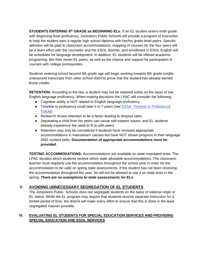**STUDENTS ENTERING 9th GRADE as BEGINNING ELs:** If an EL student enters ninth grade with beginning-level proficiency, Jonesboro Public Schools will provide a program of instruction to help the student earn a regular high school diploma with her/his grade-level peers. Specific attention will be paid to classroom accommodations; mapping of courses for the four years will be a team effort with the counselor and the ESOL teacher, and enrollment in ESOL English will be scheduled for language development. In addition, EL students will be offered academic programing, like their never-EL peers, as well as the chance and support for participation in courses with college prerequisites.

Students entering school beyond 9th grade age will begin working towards 9th grade credits unless/until transcripts from other school districts prove that the student has already earned those credits.

**RETENTION:** According to the law, a student may not be retained solely on the basis of low English language proficiency. When making decisions the LPAC will consider the following:

- Cognitive ability is NOT related to English language proficiency
- Timeline to proficiency could take 5 to 7 years (see [ESSA Timeline to Proficiency\)](https://docs.google.com/document/d/18uDe7fKj3QqWpt9tjLwznwSpoBVDnfkSpj0wMYzZTGY/edit?usp=sharing) **[Tracker](https://drive.google.com/file/d/0B2RVJ6lN55oGUzBEWHBTNVg3d3F1a2hmOURJTDhzNTIwQk8w/view?usp=sharing)**
- Research shows retention to be a factor leading to dropout rates
- Separating a child from his peers can cause self-esteem issues, and EL students already experience the need to fit in with peers
- Retention may only be considered if students have received appropriate accommodations in mainstream classes but have NOT shown progress in their language AND content skills. *Documentation of appropriate accommodations must be provided.*

**TESTING ACCOMMODATIONS:** Accommodations are available on state mandated tests. The LPAC decides which students receive which state allowable accommodations. The classroom teacher must regularly use the accommodation throughout the school year in order for the accommodation to be valid on spring state assessments. If the student has not been receiving the accommodation throughout the year, he will not be allowed to use it on state tests in the spring. *There are no exemptions to state assessments for ELs.* 

# **V. AVOIDING UNNECESSARY SEGREGATION OF EL STUDENTS**

The Jonesboro Public Schools does not segregate students on the basis of national origin or EL status. While the EL program may require that students receive separate instruction for a limited period of time, the district will make every effort to ensure that this is done in the least segregated manner possible.

# **VI. EVALUATING EL STUDENTS FOR SPECIAL EDUCATION SERVICES AND PROVIDING SPECIAL EDUCATION AND ESOL SERVICES**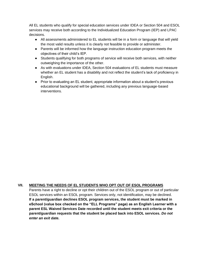All EL students who qualify for special education services under IDEA or Section 504 and ESOL services may receive both according to the Individualized Education Program (IEP) and LPAC decisions.

- All assessments administered to EL students will be in a form or language that will yield the most valid results unless it is clearly not feasible to provide or administer.
- Parents will be informed how the language instruction education program meets the objectives of their child's IEP.
- Students qualifying for both programs of service will receive both services, with neither outweighing the importance of the other.
- As with evaluations under IDEA, Section 504 evaluations of EL students must measure whether an EL student has a disability and not reflect the student's lack of proficiency in English.
- Prior to evaluating an EL student, appropriate information about a student's previous educational background will be gathered, including any previous language-based interventions.

# **VII. MEETING THE NEEDS OF EL STUDENTS WHO OPT OUT OF ESOL PROGRAMS**

Parents have a right to decline or opt their children out of the ESOL program or out of particular ESOL services within an ESOL program. Services only, not identification, may be declined. **If a parent/guardian declines ESOL program services, the student must be marked in eSchool (value box checked on the "ELL Programs" page) as an English Learner with a parent ESL Waived Services Date recorded until the student meets exit criteria or the parent/guardian requests that the student be placed back into ESOL services.** *Do not enter an exit date.*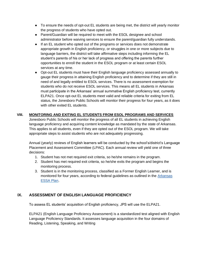- To ensure the needs of opt-out EL students are being met, the district will yearly monitor the progress of students who have opted out.
- Parent/Guardian will be required to meet with the ESOL designee and school administrator before waiving services to ensure the parent/guardian fully understands.
- If an EL student who opted out of the programs or services does not demonstrate appropriate growth in English proficiency, or struggles in one or more subjects due to language barriers, the district will take affirmative steps including informing the EL student's parents of his or her lack of progress and offering the parents further opportunities to enroll the student in the ESOL program or at least certain ESOL services at any time.
- Opt-out EL students must have their English language proficiency assessed annually to gauge their progress in attaining English proficiency and to determine if they are still in need of and legally entitled to ESOL services. There is no assessment exemption for students who do not receive ESOL services. This means all EL students in Arkansas must participate in the Arkansas' annual summative English proficiency test, currently ELPA21. Once opt-out EL students meet valid and reliable criteria for exiting from EL status, the Jonesboro Public Schools will monitor their progress for four years, as it does with other exited EL students.

# **VIII. MONITORING AND EXITING EL STUDENTS FROM ESOL PROGRAMS AND SERVICES**

Jonesboro Public Schools will monitor the progress of all EL students in achieving English language proficiency and acquiring content knowledge as mandated by the state of Arkansas. This applies to all students, even if they are opted out of the ESOL program. We will take appropriate steps to assist students who are not adequately progressing.

Annual (yearly) reviews of English learners will be conducted by the school's/district's Language Placement and Assessment Committee (LPAC). Each annual review will yield one of three decisions:

- 1. Student has not met required exit criteria, so he/she remains in the program.
- 2. Student has met required exit criteria, so he/she exits the program and begins the monitoring process.
- 3. Student is in the monitoring process, classified as a Former English Learner, and is monitored for four years, according to federal guidelines as outlined in the [Arkansas](http://dese.ade.arkansas.gov/public/userfiles/ESEA/Arkansas_ESSA_Plan_Final_September_15_2017.pdf)  [ESSA Plan.](http://dese.ade.arkansas.gov/public/userfiles/ESEA/Arkansas_ESSA_Plan_Final_September_15_2017.pdf)

# **IX. ASSESSMENT OF ENGLISH LANGUAGE PROFICIENCY**

To assess EL students' acquisition of English proficiency, JPS will use the ELPA21.

ELPA21 (English Language Proficiency Assessment) is a standardized test aligned with English Language Proficiency Standards. It assesses language acquisition in the four domains of Reading, Listening, Speaking, and Writing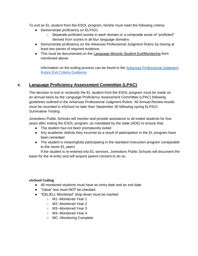To exit an EL student from the ESOL program, he/she must meet the following criteria:

- Demonstrate proficiency on ELPA21
	- Separate proficient scores in each domain or a composite score of "proficient" derived from scores in all four language domains
- Demonstrate proficiency on the Arkansas Professional Judgment Rubric by having at least two pieces of required evidence.
- This must be documented on the [Language Minority Student Exit/Monitoring](http://www.arkansased.gov/public/userfiles/Learning_Services/English%20Language%20Learners/ADE_Language_Minority_Student_Exit_Monitoring_Form_5_11_18.pdf) form mentioned above.

Information on the exiting process can be found in the [Arkansas Professional Judgment](http://adecm.arkansas.gov/Attachments/LS-18-093--Arkansas_Professional_Judgment_Rubric-Exit_Criteria_Guidance.pdf)  [Rubric Exit Criteria Guidance.](http://adecm.arkansas.gov/Attachments/LS-18-093--Arkansas_Professional_Judgment_Rubric-Exit_Criteria_Guidance.pdf)

# **X. Language Proficiency Assessment Committee (LPAC)**

The decision to exit or reclassify the EL student from the ESOL program must be made on an annual basis by the Language Proficiency Assessment Committee (LPAC) following guidelines outlined in the Arkansas Professional Judgment Rubric. All Annual Review results must be recorded in eSchool no later than September 30 following spring ELPA21 Summative Testing.

Jonesboro Public Schools will monitor and provide assistance to all exited students for four years after exiting the ESOL program, as mandated by the state (ADE) to ensure that:

- The student has not been prematurely exited
- Any academic deficits they incurred as a result of participation in the EL program have been remedied
- The student is meaningfully participating in the standard instruction program comparable to the never-EL peers

If the student is re-entered into EL services, Jonesboro Public Schools will document the basis for the re-entry and will acquire parent consent to do so.

# **eSchool Coding**

- All monitored students must have an entry date and an exit date.
- "Value" box must NOT be checked.
- "ESL/ELL Monitored" drop-down must be marked
	- M1--Monitored Year 1
	- M2--Monitored Year 2
	- M3--Monitored Year 3
	- M4--Monitored Year 4
	- MC--Monitoring Complete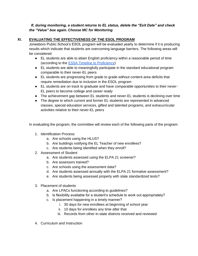# *If, during monitoring, a student returns to EL status, delete the "Exit Date" and check the "Value" box again. Choose MC for Monitoring*

# **XI. EVALUATING THE EFFECTIVENESS OF THE ESOL PROGRAM**

Jonesboro Public School's ESOL program will be evaluated yearly to determine if it is producing results which indicate that students are overcoming language barriers. The following areas will be considered:

- EL students are able to attain English proficiency within a reasonable period of time (according to the [ESSA Timeline to Proficiency\)](https://docs.google.com/document/d/18uDe7fKj3QqWpt9tjLwznwSpoBVDnfkSpj0wMYzZTGY/copy)
- EL students are able to meaningfully participate in the standard educational program comparable to their never-EL peers
- EL students are progressing from grade to grade without content-area deficits that require remediation due to inclusion in the ESOL program
- EL students are on track to graduate and have comparable opportunities to their never-EL peers to become college and career ready
- The achievement gap between EL students and never-EL students is declining over time
- The degree to which current and former EL students are represented in advanced classes, special education services, gifted and talented programs, and extracurricular activities relative to their never-EL peers

In evaluating the program, the committee will review each of the following parts of the program:

- 1. Identification Process
	- a. Are schools using the HLUS?
	- b. Are buildings notifying the EL Teacher of new enrollees?
	- c. Are students being identified when they enroll?
- 2. Assessment of Student
	- a. Are students assessed using the ELPA 21 screener?
	- b. Are assessors trained?
	- c. Are schools using the assessment data?
	- d. Are students assessed annually with the ELPA 21 formative assessment?
	- e. Are students being assessed properly with state standardized tests?
- 3. Placement of students
	- a. Are LPACs functioning according to guidelines?
	- b. Is flexibility available for a student's schedule to work out appropriately?
	- c. Is placement happening in a timely manner?
		- i. 30 days for new enrollees at beginning of school year
		- ii. 10 days for enrollees any time after that
		- iii. Records from other in-state districts received and reviewed
- 4. Curriculum and Instruction